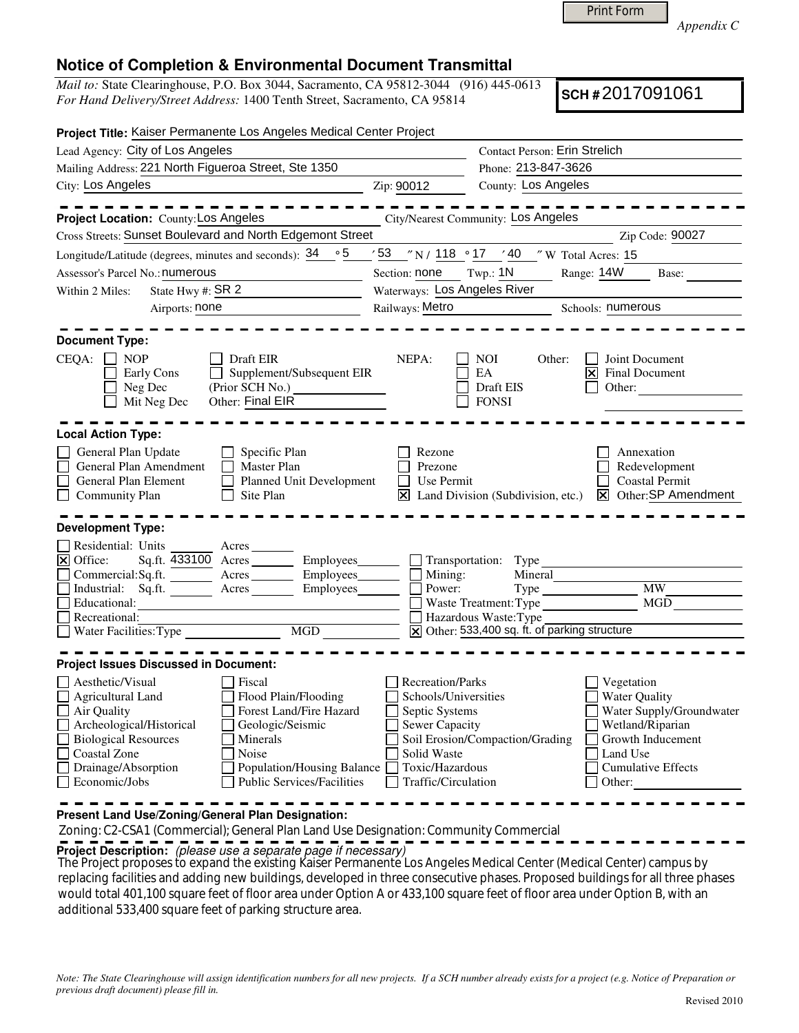| <b>Print Form</b> |
|-------------------|
|-------------------|

*Appendix C* 

## **Notice of Completion & Environmental Document Transmittal**

*Mail to:* State Clearinghouse, P.O. Box 3044, Sacramento, CA 95812-3044 (916) 445-0613 *For Hand Delivery/Street Address:* 1400 Tenth Street, Sacramento, CA 95814

**SCH #** 2017091061

| Project Title: Kaiser Permanente Los Angeles Medical Center Project                                                                                                                                                                                                                                                                                                                              |                                                                                                                                                     |                                                                                                                                    |                                                                                                                                                  |  |  |  |
|--------------------------------------------------------------------------------------------------------------------------------------------------------------------------------------------------------------------------------------------------------------------------------------------------------------------------------------------------------------------------------------------------|-----------------------------------------------------------------------------------------------------------------------------------------------------|------------------------------------------------------------------------------------------------------------------------------------|--------------------------------------------------------------------------------------------------------------------------------------------------|--|--|--|
| Lead Agency: City of Los Angeles                                                                                                                                                                                                                                                                                                                                                                 |                                                                                                                                                     | Contact Person: Erin Strelich                                                                                                      |                                                                                                                                                  |  |  |  |
| Mailing Address: 221 North Figueroa Street, Ste 1350                                                                                                                                                                                                                                                                                                                                             |                                                                                                                                                     | Phone: 213-847-3626                                                                                                                |                                                                                                                                                  |  |  |  |
| City: Los Angeles                                                                                                                                                                                                                                                                                                                                                                                | Zip: 90012                                                                                                                                          | County: Los Angeles                                                                                                                |                                                                                                                                                  |  |  |  |
| Project Location: County: Los Angeles                                                                                                                                                                                                                                                                                                                                                            |                                                                                                                                                     | City/Nearest Community: Los Angeles                                                                                                |                                                                                                                                                  |  |  |  |
| Cross Streets: Sunset Boulevard and North Edgemont Street                                                                                                                                                                                                                                                                                                                                        |                                                                                                                                                     |                                                                                                                                    | Zip Code: 90027                                                                                                                                  |  |  |  |
| $\circ 5$<br>Longitude/Latitude (degrees, minutes and seconds): 34                                                                                                                                                                                                                                                                                                                               |                                                                                                                                                     | $\sqrt{53}$ $\sqrt{N}$ / 118 $\degree$ 17 $\sqrt{40}$ $\sqrt{N}$ Total Acres: 15                                                   |                                                                                                                                                  |  |  |  |
| Assessor's Parcel No.: numerous                                                                                                                                                                                                                                                                                                                                                                  | Section: none                                                                                                                                       | Range: 14W<br>Twp.: $1N$                                                                                                           | Base:                                                                                                                                            |  |  |  |
| State Hwy #: $SR2$<br>Within 2 Miles:                                                                                                                                                                                                                                                                                                                                                            |                                                                                                                                                     | Waterways: Los Angeles River                                                                                                       |                                                                                                                                                  |  |  |  |
| Airports: none<br><u> 1989 - Johann Barbara, martxa alemani</u> ar a                                                                                                                                                                                                                                                                                                                             | Railways: Metro                                                                                                                                     | Schools: numerous                                                                                                                  |                                                                                                                                                  |  |  |  |
| <b>Document Type:</b><br>CEQA:<br><b>NOP</b><br>Draft EIR<br>Supplement/Subsequent EIR<br>Early Cons<br>(Prior SCH No.)<br>Neg Dec<br>Other: Final EIR<br>Mit Neg Dec                                                                                                                                                                                                                            | NEPA:                                                                                                                                               | <b>NOI</b><br>Other:<br>EA<br>区<br>Draft EIS<br><b>FONSI</b>                                                                       | Joint Document<br>Final Document<br>Other:                                                                                                       |  |  |  |
| <b>Local Action Type:</b><br>General Plan Update<br>Specific Plan<br>General Plan Amendment<br>Master Plan<br>Planned Unit Development<br>General Plan Element<br><b>Community Plan</b><br>Site Plan<br><b>Development Type:</b>                                                                                                                                                                 | Rezone<br>Prezone<br>Use Permit<br>Ι×Ι                                                                                                              | Land Division (Subdivision, etc.)<br>⊠                                                                                             | Annexation<br>Redevelopment<br><b>Coastal Permit</b><br>Other: SP Amendment                                                                      |  |  |  |
| Residential: Units<br>Acres<br>$\overline{\mathsf{x}}$ Office:<br>Employees_<br>Sq.ft. 433100 Acres<br>Commercial: Sq.ft.<br>Employees_<br>Acres<br>Industrial: Sq.ft.<br>Acres<br>Employees<br>Educational:<br>Recreational:<br>MGD<br>Water Facilities: Type                                                                                                                                   | Mining:<br>Power:                                                                                                                                   | Transportation: Type<br>Mineral<br>Waste Treatment: Type<br>Hazardous Waste: Type<br>X Other: 533,400 sq. ft. of parking structure | <b>MW</b><br>MGD                                                                                                                                 |  |  |  |
| <b>Project Issues Discussed in Document:</b><br>Aesthetic/Visual<br>Fiscal<br>Flood Plain/Flooding<br>Agricultural Land<br>Air Quality<br>Forest Land/Fire Hazard<br>Archeological/Historical<br>Geologic/Seismic<br><b>Biological Resources</b><br>Minerals<br>Coastal Zone<br>Noise<br>Population/Housing Balance<br>Drainage/Absorption<br><b>Public Services/Facilities</b><br>Economic/Jobs | <b>Recreation/Parks</b><br>Schools/Universities<br>Septic Systems<br><b>Sewer Capacity</b><br>Solid Waste<br>Toxic/Hazardous<br>Traffic/Circulation | Soil Erosion/Compaction/Grading<br>Other:                                                                                          | Vegetation<br><b>Water Quality</b><br>Water Supply/Groundwater<br>Wetland/Riparian<br>Growth Inducement<br>Land Use<br><b>Cumulative Effects</b> |  |  |  |

**Present Land Use/Zoning/General Plan Designation:**

Zoning: C2-CSA1 (Commercial); General Plan Land Use Designation: Community Commercial

**Project Description:** (please use a separate page if necessary)

 The Project proposes to expand the existing Kaiser Permanente Los Angeles Medical Center (Medical Center) campus by replacing facilities and adding new buildings, developed in three consecutive phases. Proposed buildings for all three phases would total 401,100 square feet of floor area under Option A or 433,100 square feet of floor area under Option B, with an additional 533,400 square feet of parking structure area.